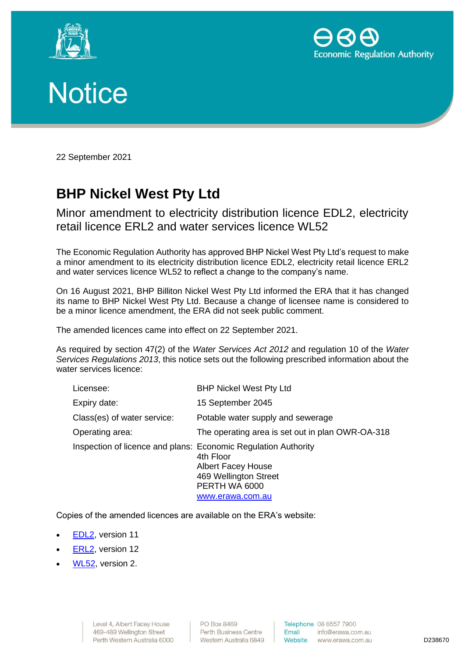





22 September 2021

## **BHP Nickel West Pty Ltd**

Minor amendment to electricity distribution licence EDL2, electricity retail licence ERL2 and water services licence WL52

The Economic Regulation Authority has approved BHP Nickel West Pty Ltd's request to make a minor amendment to its electricity distribution licence EDL2, electricity retail licence ERL2 and water services licence WL52 to reflect a change to the company's name.

On 16 August 2021, BHP Billiton Nickel West Pty Ltd informed the ERA that it has changed its name to BHP Nickel West Pty Ltd. Because a change of licensee name is considered to be a minor licence amendment, the ERA did not seek public comment.

The amended licences came into effect on 22 September 2021.

As required by section 47(2) of the *Water Services Act 2012* and regulation 10 of the *Water Services Regulations 2013*, this notice sets out the following prescribed information about the water services licence:

| Licensee:                                                      | <b>BHP Nickel West Pty Ltd</b>                                                                       |
|----------------------------------------------------------------|------------------------------------------------------------------------------------------------------|
| Expiry date:                                                   | 15 September 2045                                                                                    |
| Class(es) of water service:                                    | Potable water supply and sewerage                                                                    |
| Operating area:                                                | The operating area is set out in plan OWR-OA-318                                                     |
| Inspection of licence and plans: Economic Regulation Authority | 4th Floor<br><b>Albert Facey House</b><br>469 Wellington Street<br>PERTH WA 6000<br>www.erawa.com.au |

Copies of the amended licences are available on the ERA's website:

- [EDL2,](https://www.erawa.com.au/cproot/22161/2/Electricity-Distribution-Licence-2-Version-11-22-September-2021---EDL002---BHP-Nickel-West-Pty-Ltd.pdf) version 11
- **ERL2**, version 12
- [WL52,](http://www.erawa.com.au/cproot/22160/2/Water-Services-Licence-52-Version-2-22-September-2021---WL052---BHP-Nickel-West-Pty-Ltd.pdf) version 2.